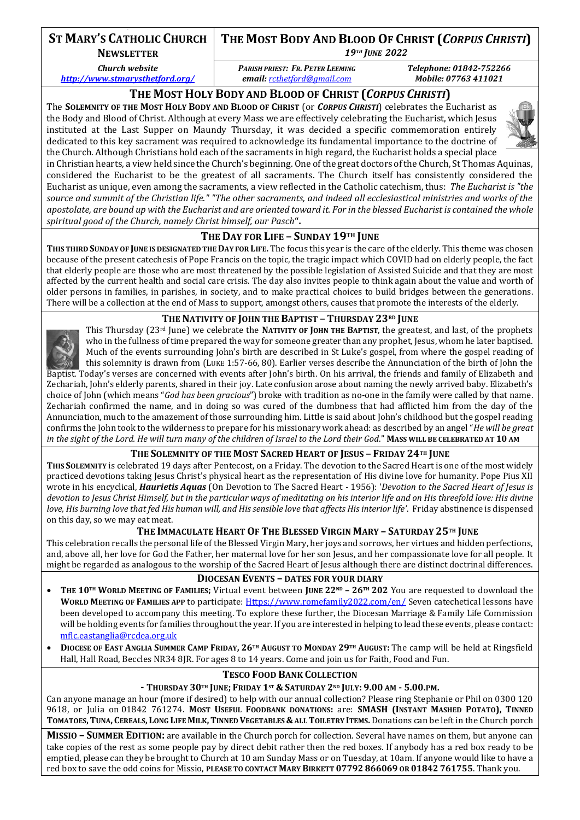# **ST MARY'S CATHOLIC CHURCH**

**NEWSLETTER**

*Church website* 

*<http://www.stmarysthetford.org/>*

**THE MOST BODY AND BLOOD OF CHRIST (***CORPUS CHRISTI***)**

*19TH JUNE 2022*

*PARISH PRIEST: FR. PETER LEEMING email: [rcthetford@gmail.com](mailto:rcthetford@gmail.com)*

*Telephone: 01842-752266 Mobile: 07763 411021*

## **THE MOST HOLY BODY AND BLOOD OF CHRIST (***CORPUS CHRISTI***)**

The **SOLEMNITY OF THE MOST HOLY BODY AND BLOOD OF CHRIST** (or *CORPUS CHRISTI*) celebrates the Eucharist as the Body and Blood of Christ. Although at every Mass we are effectively celebrating the Eucharist, which Jesus instituted at the Last Supper on Maundy Thursday, it was decided a specific commemoration entirely dedicated to this key sacrament was required to acknowledge its fundamental importance to the doctrine of the Church. Although Christians hold each of the sacraments in high regard, the Eucharist holds a special place



in Christian hearts, a view held since the Church's beginning. One of the great doctors of the Church, St Thomas Aquinas, considered the Eucharist to be the greatest of all sacraments. The Church itself has consistently considered the Eucharist as unique, even among the sacraments, a view reflected in the Catholic catechism, thus: *The Eucharist is "the source and summit of the Christian life." "The other sacraments, and indeed all ecclesiastical ministries and works of the apostolate, are bound up with the Eucharist and are oriented toward it. For in the blessed Eucharist is contained the whole spiritual good of the Church, namely Christ himself, our Pasch***".**

### **THE DAY FOR LIFE – SUNDAY 19TH JUNE**

**THIS THIRD SUNDAY OF JUNE IS DESIGNATED THE DAY FOR LIFE.** The focus this year is the care of the elderly. This theme was chosen because of the present catechesis of Pope Francis on the topic, the tragic impact which COVID had on elderly people, the fact that elderly people are those who are most threatened by the possible legislation of Assisted Suicide and that they are most affected by the current health and social care crisis. The day also invites people to think again about the value and worth of older persons in families, in parishes, in society, and to make practical choices to build bridges between the generations. There will be a collection at the end of Mass to support, amongst others, causes that promote the interests of the elderly.

### **THE NATIVITY OF JOHN THE BAPTIST – THURSDAY 23RD JUNE**



This Thursday (23rd June) we celebrate the **NATIVITY OF JOHN THE BAPTIST**, the greatest, and last, of the prophets who in the fullness of time prepared the way for someone greater than any prophet, Jesus, whom he later baptised. Much of the events surrounding John's birth are described in St Luke's gospel, from where the gospel reading of this solemnity is drawn from (LUKE 1:57-66, 80). Earlier verses describe the Annunciation of the birth of John the Baptist. Today's verses are concerned with events after John's birth. On his arrival, the friends and family of Elizabeth and

Zechariah, John's elderly parents, shared in their joy. Late confusion arose about naming the newly arrived baby. Elizabeth's choice of John (which means "*God has been gracious*") broke with tradition as no-one in the family were called by that name. Zechariah confirmed the name, and in doing so was cured of the dumbness that had afflicted him from the day of the Annunciation, much to the amazement of those surrounding him. Little is said about John's childhood but the gospel reading confirms the John took to the wilderness to prepare for his missionary work ahead: as described by an angel "*He will be great in the sight of the Lord. He will turn many of the children of Israel to the Lord their God*." **MASS WILL BE CELEBRATED AT 10 AM**

### **THE SOLEMNITY OF THE MOST SACRED HEART OF JESUS – FRIDAY 24TH JUNE**

**THIS SOLEMNITY** is celebrated 19 days after Pentecost, on a Friday. The devotion to the Sacred Heart is one of the most widely practiced devotions taking Jesus Christ's physical heart as the representation of His divine love for humanity. Pope Pius XII wrote in his encyclical, *Haurietis Aquas* (On Devotion to The Sacred Heart - 1956): '*Devotion to the Sacred Heart of Jesus is devotion to Jesus Christ Himself, but in the particular ways of meditating on his interior life and on His threefold love: His divine love, His burning love that fed His human will, and His sensible love that affects His interior life'*. Friday abstinence is dispensed on this day, so we may eat meat.

### THE IMMACULATE HEART OF THE BLESSED VIRGIN MARY - SATURDAY 25TH JUNE

This celebration recalls the personal life of the Blessed Virgin Mary, her joys and sorrows, her virtues and hidden perfections, and, above all, her love for God the Father, her maternal love for her son Jesus, and her compassionate love for all people. It might be regarded as analogous to the worship of the Sacred Heart of Jesus although there are distinct doctrinal differences.

#### **DIOCESAN EVENTS – DATES FOR YOUR DIARY**

- THE 10TH WORLD MEETING OF FAMILIES; Virtual event between JUNE 22ND 26TH 202 You are requested to download the **WORLD MEETING OF FAMILIES APP** to participate[: Https://www.romefamily2022.com/en/](https://www.romefamily2022.com/en/) Seven catechetical lessons have been developed to accompany this meeting. To explore these further, the Diocesan Marriage & Family Life Commission will be holding events for families throughout the year. If you are interested in helping to lead these events, please contact: [mflc.eastanglia@rcdea.org.uk](mailto:mflc.eastanglia@rcdea.org.uk)
- DIOCESE OF EAST ANGLIA SUMMER CAMP FRIDAY, 26<sup>TH</sup> AUGUST TO MONDAY 29<sup>TH</sup> AUGUST: The camp will be held at Ringsfield Hall, Hall Road, Beccles NR34 8JR. For ages 8 to 14 years. Come and join us for Faith, Food and Fun.

### **TESCO FOOD BANK COLLECTION**

- THURSDAY 30TH JUNE; FRIDAY 1ST & SATURDAY 2ND JULY: 9.00 AM - 5.00.PM.

Can anyone manage an hour (more if desired) to help with our annual collection? Please ring Stephanie or Phil on 0300 120 9618, or Julia on 01842 761274. MOST USEFUL FOODBANK DONATIONS: are: SMASH (INSTANT MASHED POTATO), TINNED TOMATOES, TUNA, CEREALS, LONG LIFE MILK, TINNED VEGETABLES & ALL TOILETRY ITEMS. Donations can be left in the Church porch

**MISSIO – SUMMER EDITION:** are available in the Church porch for collection. Several have names on them, but anyone can take copies of the rest as some people pay by direct debit rather then the red boxes. If anybody has a red box ready to be emptied, please can they be brought to Church at 10 am Sunday Mass or on Tuesday, at 10am. If anyone would like to have a red box to save the odd coins for Missio, **PLEASE TO CONTACT MARY BIRKETT 07792 866069 OR 01842 761755**. Thank you.